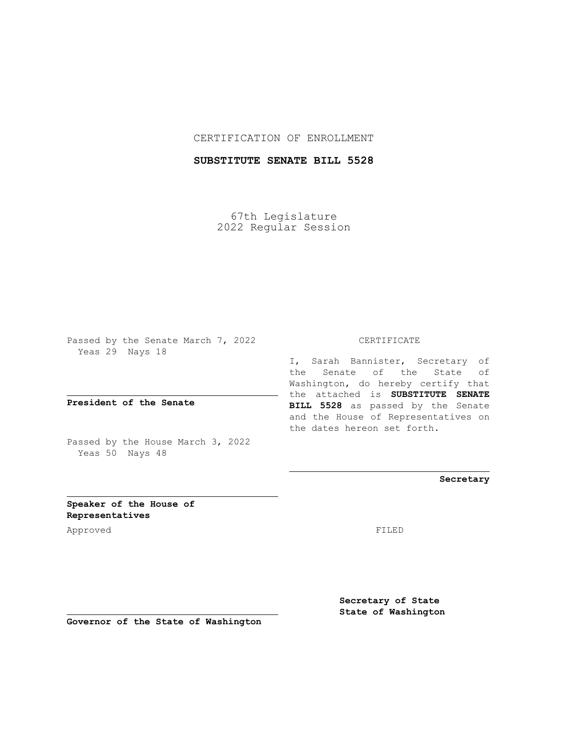### CERTIFICATION OF ENROLLMENT

# **SUBSTITUTE SENATE BILL 5528**

67th Legislature 2022 Regular Session

Passed by the Senate March 7, 2022 Yeas 29 Nays 18

**President of the Senate**

Passed by the House March 3, 2022 Yeas 50 Nays 48

#### CERTIFICATE

I, Sarah Bannister, Secretary of the Senate of the State of Washington, do hereby certify that the attached is **SUBSTITUTE SENATE BILL 5528** as passed by the Senate and the House of Representatives on the dates hereon set forth.

**Secretary**

**Speaker of the House of Representatives**

Approved FILED

**Secretary of State State of Washington**

**Governor of the State of Washington**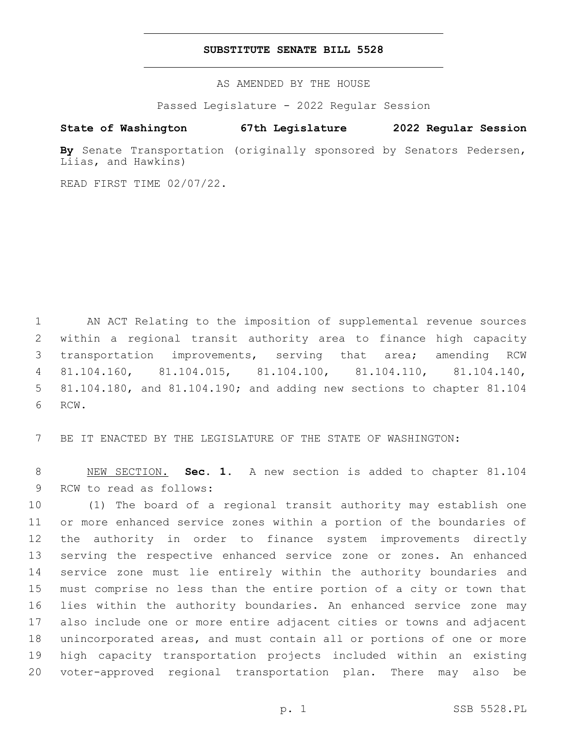### **SUBSTITUTE SENATE BILL 5528**

AS AMENDED BY THE HOUSE

Passed Legislature - 2022 Regular Session

# **State of Washington 67th Legislature 2022 Regular Session**

**By** Senate Transportation (originally sponsored by Senators Pedersen, Liias, and Hawkins)

READ FIRST TIME 02/07/22.

 AN ACT Relating to the imposition of supplemental revenue sources within a regional transit authority area to finance high capacity transportation improvements, serving that area; amending RCW 81.104.160, 81.104.015, 81.104.100, 81.104.110, 81.104.140, 81.104.180, and 81.104.190; and adding new sections to chapter 81.104 6 RCW.

BE IT ENACTED BY THE LEGISLATURE OF THE STATE OF WASHINGTON:

 NEW SECTION. **Sec. 1.** A new section is added to chapter 81.104 9 RCW to read as follows:

 (1) The board of a regional transit authority may establish one or more enhanced service zones within a portion of the boundaries of the authority in order to finance system improvements directly serving the respective enhanced service zone or zones. An enhanced service zone must lie entirely within the authority boundaries and must comprise no less than the entire portion of a city or town that lies within the authority boundaries. An enhanced service zone may also include one or more entire adjacent cities or towns and adjacent unincorporated areas, and must contain all or portions of one or more high capacity transportation projects included within an existing voter-approved regional transportation plan. There may also be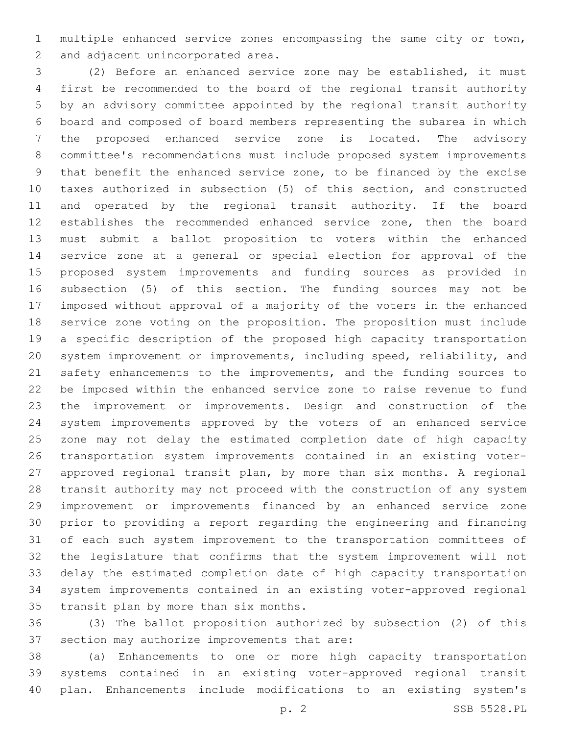multiple enhanced service zones encompassing the same city or town, 2 and adjacent unincorporated area.

 (2) Before an enhanced service zone may be established, it must first be recommended to the board of the regional transit authority by an advisory committee appointed by the regional transit authority board and composed of board members representing the subarea in which the proposed enhanced service zone is located. The advisory committee's recommendations must include proposed system improvements that benefit the enhanced service zone, to be financed by the excise taxes authorized in subsection (5) of this section, and constructed and operated by the regional transit authority. If the board establishes the recommended enhanced service zone, then the board must submit a ballot proposition to voters within the enhanced service zone at a general or special election for approval of the proposed system improvements and funding sources as provided in subsection (5) of this section. The funding sources may not be imposed without approval of a majority of the voters in the enhanced service zone voting on the proposition. The proposition must include a specific description of the proposed high capacity transportation system improvement or improvements, including speed, reliability, and 21 safety enhancements to the improvements, and the funding sources to be imposed within the enhanced service zone to raise revenue to fund the improvement or improvements. Design and construction of the system improvements approved by the voters of an enhanced service zone may not delay the estimated completion date of high capacity transportation system improvements contained in an existing voter- approved regional transit plan, by more than six months. A regional transit authority may not proceed with the construction of any system improvement or improvements financed by an enhanced service zone prior to providing a report regarding the engineering and financing of each such system improvement to the transportation committees of the legislature that confirms that the system improvement will not delay the estimated completion date of high capacity transportation system improvements contained in an existing voter-approved regional 35 transit plan by more than six months.

 (3) The ballot proposition authorized by subsection (2) of this 37 section may authorize improvements that are:

 (a) Enhancements to one or more high capacity transportation systems contained in an existing voter-approved regional transit plan. Enhancements include modifications to an existing system's

p. 2 SSB 5528.PL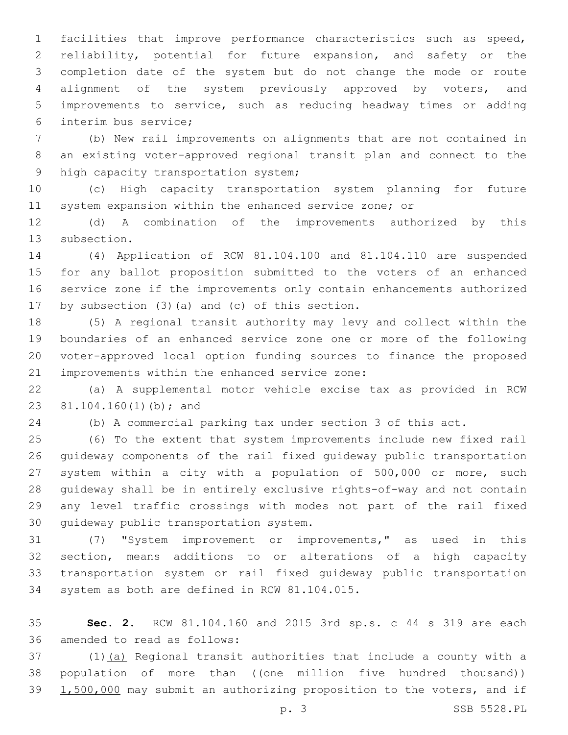facilities that improve performance characteristics such as speed, reliability, potential for future expansion, and safety or the completion date of the system but do not change the mode or route alignment of the system previously approved by voters, and improvements to service, such as reducing headway times or adding interim bus service;6

 (b) New rail improvements on alignments that are not contained in an existing voter-approved regional transit plan and connect to the 9 high capacity transportation system;

 (c) High capacity transportation system planning for future system expansion within the enhanced service zone; or

 (d) A combination of the improvements authorized by this 13 subsection.

 (4) Application of RCW 81.104.100 and 81.104.110 are suspended for any ballot proposition submitted to the voters of an enhanced service zone if the improvements only contain enhancements authorized 17 by subsection  $(3)$   $(a)$  and  $(c)$  of this section.

 (5) A regional transit authority may levy and collect within the boundaries of an enhanced service zone one or more of the following voter-approved local option funding sources to finance the proposed 21 improvements within the enhanced service zone:

 (a) A supplemental motor vehicle excise tax as provided in RCW 23 81.104.160(1)(b); and

(b) A commercial parking tax under section 3 of this act.

 (6) To the extent that system improvements include new fixed rail guideway components of the rail fixed guideway public transportation system within a city with a population of 500,000 or more, such guideway shall be in entirely exclusive rights-of-way and not contain any level traffic crossings with modes not part of the rail fixed 30 quideway public transportation system.

 (7) "System improvement or improvements," as used in this section, means additions to or alterations of a high capacity transportation system or rail fixed guideway public transportation 34 system as both are defined in RCW 81.104.015.

 **Sec. 2.** RCW 81.104.160 and 2015 3rd sp.s. c 44 s 319 are each 36 amended to read as follows:

 (1)(a) Regional transit authorities that include a county with a 38 population of more than ((one million five hundred thousand)) 1,500,000 may submit an authorizing proposition to the voters, and if

p. 3 SSB 5528.PL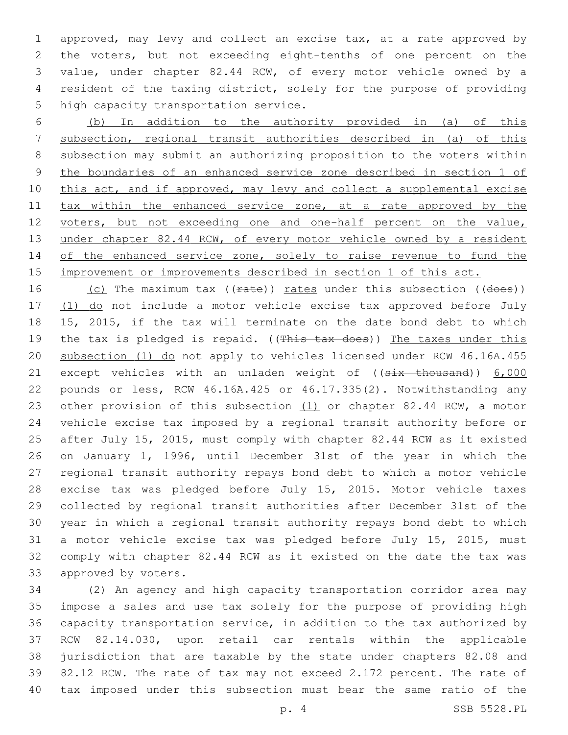approved, may levy and collect an excise tax, at a rate approved by the voters, but not exceeding eight-tenths of one percent on the value, under chapter 82.44 RCW, of every motor vehicle owned by a resident of the taxing district, solely for the purpose of providing 5 high capacity transportation service.

 (b) In addition to the authority provided in (a) of this subsection, regional transit authorities described in (a) of this subsection may submit an authorizing proposition to the voters within the boundaries of an enhanced service zone described in section 1 of 10 this act, and if approved, may levy and collect a supplemental excise 11 tax within the enhanced service zone, at a rate approved by the 12 voters, but not exceeding one and one-half percent on the value, 13 under chapter 82.44 RCW, of every motor vehicle owned by a resident 14 of the enhanced service zone, solely to raise revenue to fund the 15 improvement or improvements described in section 1 of this act.

16 (c) The maximum tax ((rate)) rates under this subsection ((does)) 17 (1) do not include a motor vehicle excise tax approved before July 15, 2015, if the tax will terminate on the date bond debt to which 19 the tax is pledged is repaid. ((This tax does)) The taxes under this subsection (1) do not apply to vehicles licensed under RCW 46.16A.455 21 except vehicles with an unladen weight of ((six thousand)) 6,000 pounds or less, RCW 46.16A.425 or 46.17.335(2). Notwithstanding any 23 other provision of this subsection (1) or chapter 82.44 RCW, a motor vehicle excise tax imposed by a regional transit authority before or after July 15, 2015, must comply with chapter 82.44 RCW as it existed on January 1, 1996, until December 31st of the year in which the regional transit authority repays bond debt to which a motor vehicle excise tax was pledged before July 15, 2015. Motor vehicle taxes collected by regional transit authorities after December 31st of the year in which a regional transit authority repays bond debt to which a motor vehicle excise tax was pledged before July 15, 2015, must comply with chapter 82.44 RCW as it existed on the date the tax was 33 approved by voters.

 (2) An agency and high capacity transportation corridor area may impose a sales and use tax solely for the purpose of providing high capacity transportation service, in addition to the tax authorized by RCW 82.14.030, upon retail car rentals within the applicable jurisdiction that are taxable by the state under chapters 82.08 and 82.12 RCW. The rate of tax may not exceed 2.172 percent. The rate of tax imposed under this subsection must bear the same ratio of the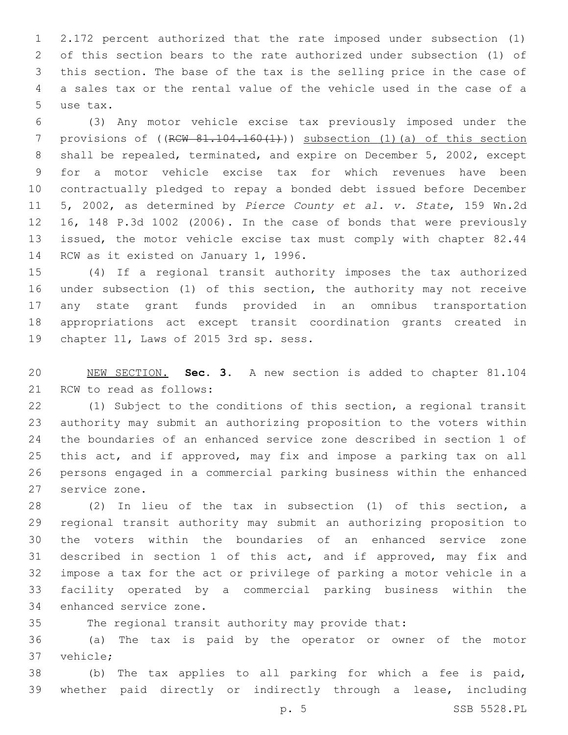2.172 percent authorized that the rate imposed under subsection (1) of this section bears to the rate authorized under subsection (1) of this section. The base of the tax is the selling price in the case of a sales tax or the rental value of the vehicle used in the case of a 5 use tax.

 (3) Any motor vehicle excise tax previously imposed under the 7 provisions of  $((R $\text{CW } 81.104.160(1))$ )$  subsection (1)(a) of this section shall be repealed, terminated, and expire on December 5, 2002, except for a motor vehicle excise tax for which revenues have been contractually pledged to repay a bonded debt issued before December 5, 2002, as determined by *Pierce County et al. v. State*, 159 Wn.2d 16, 148 P.3d 1002 (2006). In the case of bonds that were previously issued, the motor vehicle excise tax must comply with chapter 82.44 14 RCW as it existed on January 1, 1996.

 (4) If a regional transit authority imposes the tax authorized under subsection (1) of this section, the authority may not receive any state grant funds provided in an omnibus transportation appropriations act except transit coordination grants created in 19 chapter 11, Laws of 2015 3rd sp. sess.

 NEW SECTION. **Sec. 3.** A new section is added to chapter 81.104 21 RCW to read as follows:

 (1) Subject to the conditions of this section, a regional transit authority may submit an authorizing proposition to the voters within the boundaries of an enhanced service zone described in section 1 of this act, and if approved, may fix and impose a parking tax on all persons engaged in a commercial parking business within the enhanced 27 service zone.

 (2) In lieu of the tax in subsection (1) of this section, a regional transit authority may submit an authorizing proposition to the voters within the boundaries of an enhanced service zone described in section 1 of this act, and if approved, may fix and impose a tax for the act or privilege of parking a motor vehicle in a facility operated by a commercial parking business within the 34 enhanced service zone.

The regional transit authority may provide that:

 (a) The tax is paid by the operator or owner of the motor 37 vehicle;

 (b) The tax applies to all parking for which a fee is paid, whether paid directly or indirectly through a lease, including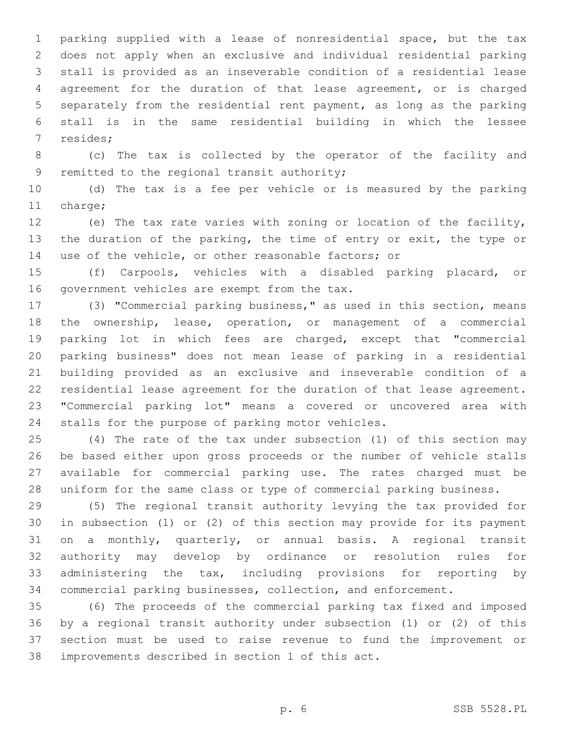parking supplied with a lease of nonresidential space, but the tax does not apply when an exclusive and individual residential parking stall is provided as an inseverable condition of a residential lease agreement for the duration of that lease agreement, or is charged separately from the residential rent payment, as long as the parking stall is in the same residential building in which the lessee 7 resides;

 (c) The tax is collected by the operator of the facility and 9 remitted to the regional transit authority;

 (d) The tax is a fee per vehicle or is measured by the parking 11 charge;

 (e) The tax rate varies with zoning or location of the facility, 13 the duration of the parking, the time of entry or exit, the type or use of the vehicle, or other reasonable factors; or

 (f) Carpools, vehicles with a disabled parking placard, or 16 government vehicles are exempt from the tax.

 (3) "Commercial parking business," as used in this section, means the ownership, lease, operation, or management of a commercial parking lot in which fees are charged, except that "commercial parking business" does not mean lease of parking in a residential building provided as an exclusive and inseverable condition of a residential lease agreement for the duration of that lease agreement. "Commercial parking lot" means a covered or uncovered area with 24 stalls for the purpose of parking motor vehicles.

 (4) The rate of the tax under subsection (1) of this section may be based either upon gross proceeds or the number of vehicle stalls available for commercial parking use. The rates charged must be uniform for the same class or type of commercial parking business.

 (5) The regional transit authority levying the tax provided for in subsection (1) or (2) of this section may provide for its payment on a monthly, quarterly, or annual basis. A regional transit authority may develop by ordinance or resolution rules for administering the tax, including provisions for reporting by commercial parking businesses, collection, and enforcement.

 (6) The proceeds of the commercial parking tax fixed and imposed by a regional transit authority under subsection (1) or (2) of this section must be used to raise revenue to fund the improvement or 38 improvements described in section 1 of this act.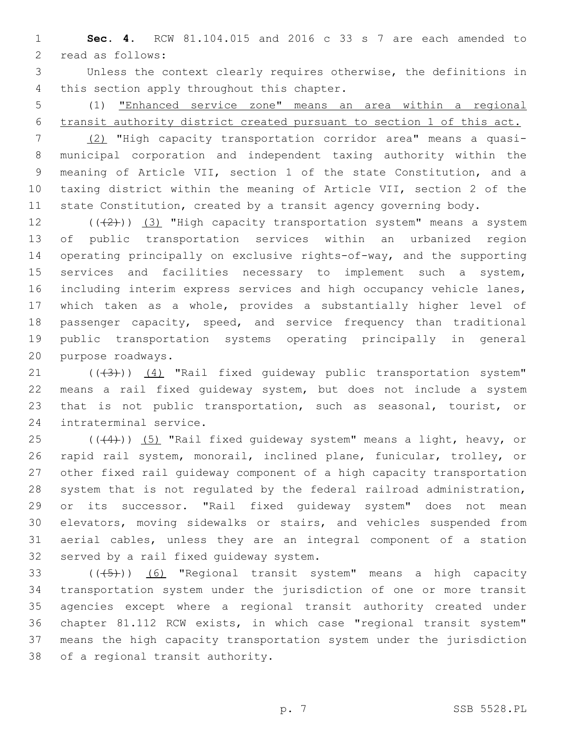**Sec. 4.** RCW 81.104.015 and 2016 c 33 s 7 are each amended to 2 read as follows:

 Unless the context clearly requires otherwise, the definitions in 4 this section apply throughout this chapter.

 (1) "Enhanced service zone" means an area within a regional transit authority district created pursuant to section 1 of this act.

 (2) "High capacity transportation corridor area" means a quasi- municipal corporation and independent taxing authority within the meaning of Article VII, section 1 of the state Constitution, and a taxing district within the meaning of Article VII, section 2 of the state Constitution, created by a transit agency governing body.

 $((+2))$   $(3)$  "High capacity transportation system" means a system of public transportation services within an urbanized region operating principally on exclusive rights-of-way, and the supporting services and facilities necessary to implement such a system, including interim express services and high occupancy vehicle lanes, which taken as a whole, provides a substantially higher level of 18 passenger capacity, speed, and service frequency than traditional public transportation systems operating principally in general 20 purpose roadways.

21 (((3))) (4) "Rail fixed guideway public transportation system" means a rail fixed guideway system, but does not include a system that is not public transportation, such as seasonal, tourist, or 24 intraterminal service.

 $((44))$   $(5)$  "Rail fixed quideway system" means a light, heavy, or rapid rail system, monorail, inclined plane, funicular, trolley, or other fixed rail guideway component of a high capacity transportation system that is not regulated by the federal railroad administration, or its successor. "Rail fixed guideway system" does not mean elevators, moving sidewalks or stairs, and vehicles suspended from aerial cables, unless they are an integral component of a station 32 served by a rail fixed guideway system.

33 (((+5))) (6) "Regional transit system" means a high capacity transportation system under the jurisdiction of one or more transit agencies except where a regional transit authority created under chapter 81.112 RCW exists, in which case "regional transit system" means the high capacity transportation system under the jurisdiction 38 of a regional transit authority.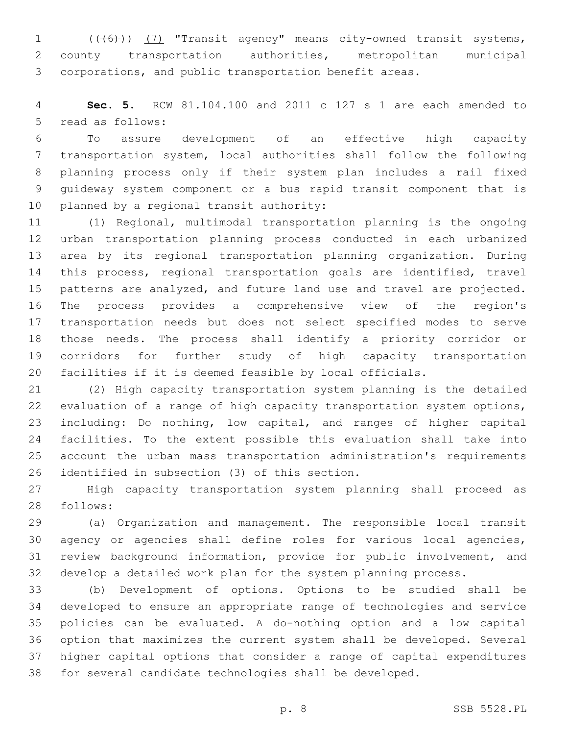1 (((6))) (7) "Transit agency" means city-owned transit systems, county transportation authorities, metropolitan municipal corporations, and public transportation benefit areas.

 **Sec. 5.** RCW 81.104.100 and 2011 c 127 s 1 are each amended to 5 read as follows:

 To assure development of an effective high capacity transportation system, local authorities shall follow the following planning process only if their system plan includes a rail fixed guideway system component or a bus rapid transit component that is 10 planned by a regional transit authority:

 (1) Regional, multimodal transportation planning is the ongoing urban transportation planning process conducted in each urbanized area by its regional transportation planning organization. During this process, regional transportation goals are identified, travel patterns are analyzed, and future land use and travel are projected. The process provides a comprehensive view of the region's transportation needs but does not select specified modes to serve those needs. The process shall identify a priority corridor or corridors for further study of high capacity transportation facilities if it is deemed feasible by local officials.

 (2) High capacity transportation system planning is the detailed evaluation of a range of high capacity transportation system options, including: Do nothing, low capital, and ranges of higher capital facilities. To the extent possible this evaluation shall take into account the urban mass transportation administration's requirements 26 identified in subsection (3) of this section.

 High capacity transportation system planning shall proceed as 28 follows:

 (a) Organization and management. The responsible local transit agency or agencies shall define roles for various local agencies, review background information, provide for public involvement, and develop a detailed work plan for the system planning process.

 (b) Development of options. Options to be studied shall be developed to ensure an appropriate range of technologies and service policies can be evaluated. A do-nothing option and a low capital option that maximizes the current system shall be developed. Several higher capital options that consider a range of capital expenditures for several candidate technologies shall be developed.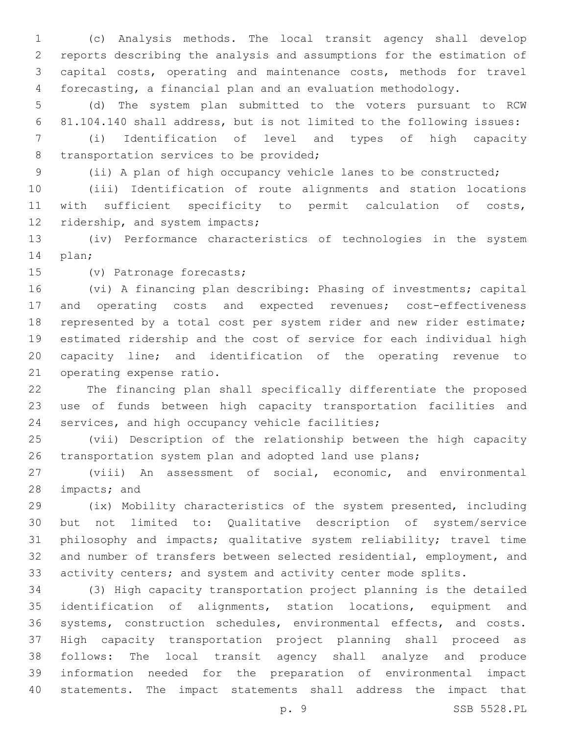(c) Analysis methods. The local transit agency shall develop reports describing the analysis and assumptions for the estimation of capital costs, operating and maintenance costs, methods for travel forecasting, a financial plan and an evaluation methodology.

 (d) The system plan submitted to the voters pursuant to RCW 81.104.140 shall address, but is not limited to the following issues:

 (i) Identification of level and types of high capacity 8 transportation services to be provided;

(ii) A plan of high occupancy vehicle lanes to be constructed;

 (iii) Identification of route alignments and station locations with sufficient specificity to permit calculation of costs, 12 ridership, and system impacts;

 (iv) Performance characteristics of technologies in the system 14 plan;

15 (v) Patronage forecasts;

 (vi) A financing plan describing: Phasing of investments; capital 17 and operating costs and expected revenues; cost-effectiveness represented by a total cost per system rider and new rider estimate; estimated ridership and the cost of service for each individual high capacity line; and identification of the operating revenue to 21 operating expense ratio.

 The financing plan shall specifically differentiate the proposed use of funds between high capacity transportation facilities and 24 services, and high occupancy vehicle facilities;

 (vii) Description of the relationship between the high capacity transportation system plan and adopted land use plans;

 (viii) An assessment of social, economic, and environmental 28 impacts; and

 (ix) Mobility characteristics of the system presented, including but not limited to: Qualitative description of system/service philosophy and impacts; qualitative system reliability; travel time and number of transfers between selected residential, employment, and 33 activity centers; and system and activity center mode splits.

 (3) High capacity transportation project planning is the detailed identification of alignments, station locations, equipment and systems, construction schedules, environmental effects, and costs. High capacity transportation project planning shall proceed as follows: The local transit agency shall analyze and produce information needed for the preparation of environmental impact statements. The impact statements shall address the impact that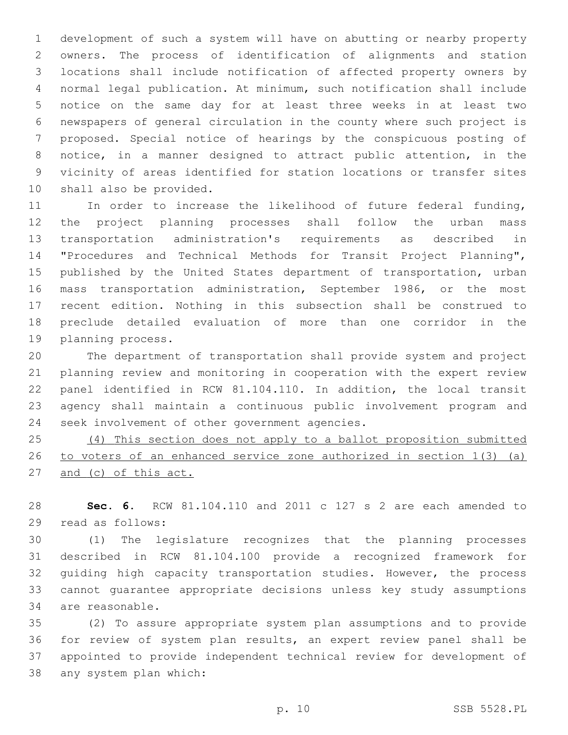development of such a system will have on abutting or nearby property owners. The process of identification of alignments and station locations shall include notification of affected property owners by normal legal publication. At minimum, such notification shall include notice on the same day for at least three weeks in at least two newspapers of general circulation in the county where such project is proposed. Special notice of hearings by the conspicuous posting of notice, in a manner designed to attract public attention, in the vicinity of areas identified for station locations or transfer sites 10 shall also be provided.

11 In order to increase the likelihood of future federal funding, the project planning processes shall follow the urban mass transportation administration's requirements as described in "Procedures and Technical Methods for Transit Project Planning", 15 published by the United States department of transportation, urban mass transportation administration, September 1986, or the most recent edition. Nothing in this subsection shall be construed to preclude detailed evaluation of more than one corridor in the 19 planning process.

 The department of transportation shall provide system and project planning review and monitoring in cooperation with the expert review panel identified in RCW 81.104.110. In addition, the local transit agency shall maintain a continuous public involvement program and 24 seek involvement of other government agencies.

 (4) This section does not apply to a ballot proposition submitted to voters of an enhanced service zone authorized in section 1(3) (a) 27 and (c) of this act.

 **Sec. 6.** RCW 81.104.110 and 2011 c 127 s 2 are each amended to 29 read as follows:

 (1) The legislature recognizes that the planning processes described in RCW 81.104.100 provide a recognized framework for guiding high capacity transportation studies. However, the process cannot guarantee appropriate decisions unless key study assumptions 34 are reasonable.

 (2) To assure appropriate system plan assumptions and to provide for review of system plan results, an expert review panel shall be appointed to provide independent technical review for development of 38 any system plan which: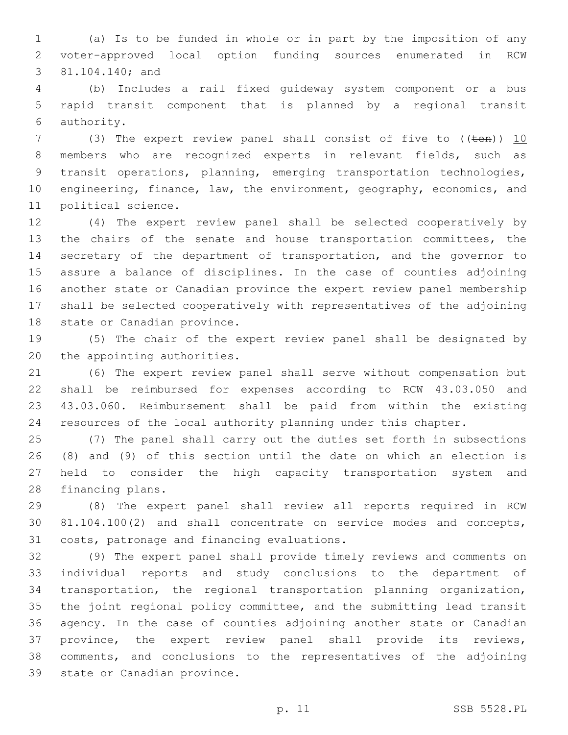(a) Is to be funded in whole or in part by the imposition of any voter-approved local option funding sources enumerated in RCW 3 81.104.140; and

 (b) Includes a rail fixed guideway system component or a bus rapid transit component that is planned by a regional transit authority.6

7 (3) The expert review panel shall consist of five to ((ten)) 10 members who are recognized experts in relevant fields, such as transit operations, planning, emerging transportation technologies, 10 engineering, finance, law, the environment, geography, economics, and 11 political science.

 (4) The expert review panel shall be selected cooperatively by the chairs of the senate and house transportation committees, the secretary of the department of transportation, and the governor to assure a balance of disciplines. In the case of counties adjoining another state or Canadian province the expert review panel membership shall be selected cooperatively with representatives of the adjoining 18 state or Canadian province.

 (5) The chair of the expert review panel shall be designated by 20 the appointing authorities.

 (6) The expert review panel shall serve without compensation but shall be reimbursed for expenses according to RCW 43.03.050 and 43.03.060. Reimbursement shall be paid from within the existing resources of the local authority planning under this chapter.

 (7) The panel shall carry out the duties set forth in subsections (8) and (9) of this section until the date on which an election is held to consider the high capacity transportation system and 28 financing plans.

 (8) The expert panel shall review all reports required in RCW 81.104.100(2) and shall concentrate on service modes and concepts, 31 costs, patronage and financing evaluations.

 (9) The expert panel shall provide timely reviews and comments on individual reports and study conclusions to the department of transportation, the regional transportation planning organization, the joint regional policy committee, and the submitting lead transit agency. In the case of counties adjoining another state or Canadian province, the expert review panel shall provide its reviews, comments, and conclusions to the representatives of the adjoining 39 state or Canadian province.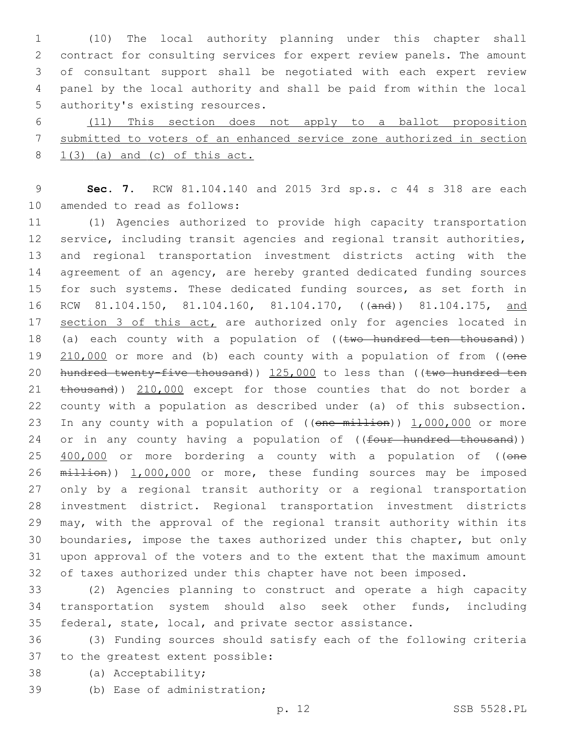(10) The local authority planning under this chapter shall contract for consulting services for expert review panels. The amount of consultant support shall be negotiated with each expert review panel by the local authority and shall be paid from within the local 5 authority's existing resources.

6 (11) This section does not apply to a ballot proposition 7 submitted to voters of an enhanced service zone authorized in section 8 1(3) (a) and (c) of this act.

9 **Sec. 7.** RCW 81.104.140 and 2015 3rd sp.s. c 44 s 318 are each 10 amended to read as follows:

11 (1) Agencies authorized to provide high capacity transportation 12 service, including transit agencies and regional transit authorities, 13 and regional transportation investment districts acting with the 14 agreement of an agency, are hereby granted dedicated funding sources 15 for such systems. These dedicated funding sources, as set forth in 16 RCW 81.104.150, 81.104.160, 81.104.170, ((and)) 81.104.175, and 17 section 3 of this act, are authorized only for agencies located in 18 (a) each county with a population of ((two hundred ten thousand)) 19 210,000 or more and (b) each county with a population of from ((one 20 hundred twenty-five thousand)) 125,000 to less than ((two hundred ten 21 thousand)) 210,000 except for those counties that do not border a 22 county with a population as described under (a) of this subsection. 23 In any county with a population of ((one million)) 1,000,000 or more 24 or in any county having a population of ((four hundred thousand)) 25 400,000 or more bordering a county with a population of ((one 26 million)) 1,000,000 or more, these funding sources may be imposed 27 only by a regional transit authority or a regional transportation 28 investment district. Regional transportation investment districts 29 may, with the approval of the regional transit authority within its 30 boundaries, impose the taxes authorized under this chapter, but only 31 upon approval of the voters and to the extent that the maximum amount 32 of taxes authorized under this chapter have not been imposed.

33 (2) Agencies planning to construct and operate a high capacity 34 transportation system should also seek other funds, including 35 federal, state, local, and private sector assistance.

36 (3) Funding sources should satisfy each of the following criteria 37 to the greatest extent possible:

38 (a) Acceptability;

39 (b) Ease of administration;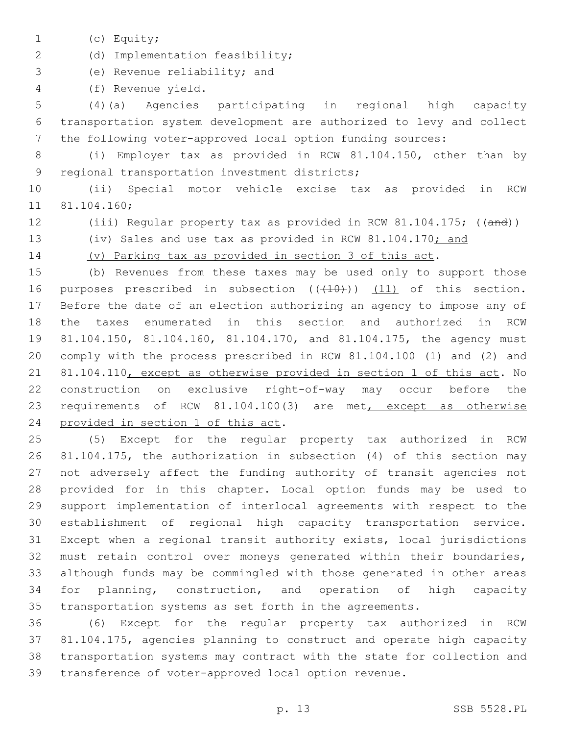1 (c) Equity;

2 (d) Implementation feasibility;

3 (e) Revenue reliability; and

(f) Revenue yield.4

 (4)(a) Agencies participating in regional high capacity transportation system development are authorized to levy and collect the following voter-approved local option funding sources:

 (i) Employer tax as provided in RCW 81.104.150, other than by 9 regional transportation investment districts;

 (ii) Special motor vehicle excise tax as provided in RCW 11 81.104.160;

12 (iii) Regular property tax as provided in RCW 81.104.175; ((and))

13 (iv) Sales and use tax as provided in RCW 81.104.170; and

(v) Parking tax as provided in section 3 of this act.

 (b) Revenues from these taxes may be used only to support those 16 purposes prescribed in subsection  $((+10))$   $(11)$  of this section. Before the date of an election authorizing an agency to impose any of the taxes enumerated in this section and authorized in RCW 81.104.150, 81.104.160, 81.104.170, and 81.104.175, the agency must comply with the process prescribed in RCW 81.104.100 (1) and (2) and 81.104.110, except as otherwise provided in section 1 of this act. No construction on exclusive right-of-way may occur before the requirements of RCW 81.104.100(3) are met, except as otherwise 24 provided in section 1 of this act.

 (5) Except for the regular property tax authorized in RCW 81.104.175, the authorization in subsection (4) of this section may not adversely affect the funding authority of transit agencies not provided for in this chapter. Local option funds may be used to support implementation of interlocal agreements with respect to the establishment of regional high capacity transportation service. Except when a regional transit authority exists, local jurisdictions must retain control over moneys generated within their boundaries, although funds may be commingled with those generated in other areas for planning, construction, and operation of high capacity transportation systems as set forth in the agreements.

 (6) Except for the regular property tax authorized in RCW 81.104.175, agencies planning to construct and operate high capacity transportation systems may contract with the state for collection and transference of voter-approved local option revenue.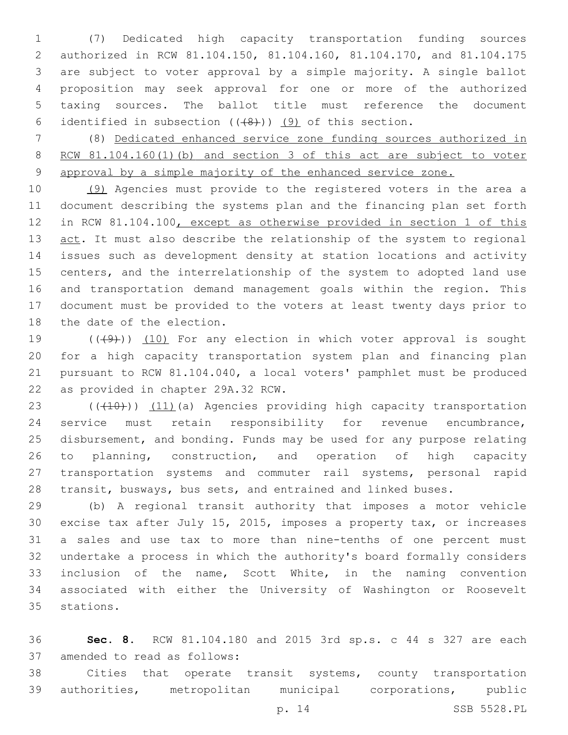(7) Dedicated high capacity transportation funding sources authorized in RCW 81.104.150, 81.104.160, 81.104.170, and 81.104.175 are subject to voter approval by a simple majority. A single ballot proposition may seek approval for one or more of the authorized taxing sources. The ballot title must reference the document 6 identified in subsection  $((+8))$   $(9)$  of this section.

 (8) Dedicated enhanced service zone funding sources authorized in RCW 81.104.160(1)(b) and section 3 of this act are subject to voter approval by a simple majority of the enhanced service zone.

 (9) Agencies must provide to the registered voters in the area a document describing the systems plan and the financing plan set forth in RCW 81.104.100, except as otherwise provided in section 1 of this 13 act. It must also describe the relationship of the system to regional issues such as development density at station locations and activity centers, and the interrelationship of the system to adopted land use and transportation demand management goals within the region. This document must be provided to the voters at least twenty days prior to 18 the date of the election.

 $((+9+))$   $(10)$  For any election in which voter approval is sought for a high capacity transportation system plan and financing plan pursuant to RCW 81.104.040, a local voters' pamphlet must be produced 22 as provided in chapter 29A.32 RCW.

23 (((10))) (11)(a) Agencies providing high capacity transportation service must retain responsibility for revenue encumbrance, 25 disbursement, and bonding. Funds may be used for any purpose relating to planning, construction, and operation of high capacity transportation systems and commuter rail systems, personal rapid transit, busways, bus sets, and entrained and linked buses.

 (b) A regional transit authority that imposes a motor vehicle excise tax after July 15, 2015, imposes a property tax, or increases a sales and use tax to more than nine-tenths of one percent must undertake a process in which the authority's board formally considers inclusion of the name, Scott White, in the naming convention associated with either the University of Washington or Roosevelt 35 stations.

 **Sec. 8.** RCW 81.104.180 and 2015 3rd sp.s. c 44 s 327 are each 37 amended to read as follows:

 Cities that operate transit systems, county transportation authorities, metropolitan municipal corporations, public